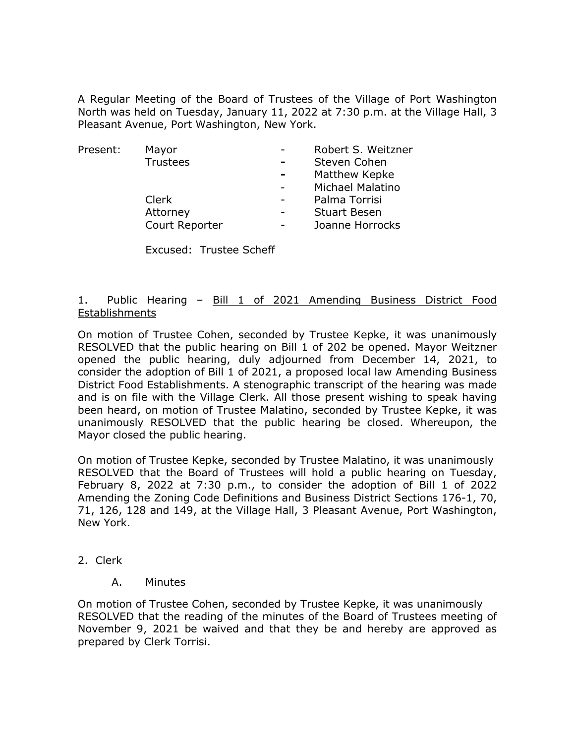A Regular Meeting of the Board of Trustees of the Village of Port Washington North was held on Tuesday, January 11, 2022 at 7:30 p.m. at the Village Hall, 3 Pleasant Avenue, Port Washington, New York.

| Present: | Mayor           |                | Robert S. Weitzner  |
|----------|-----------------|----------------|---------------------|
|          | <b>Trustees</b> | $\blacksquare$ | Steven Cohen        |
|          |                 | $\blacksquare$ | Matthew Kepke       |
|          |                 |                | Michael Malatino    |
|          | Clerk           |                | Palma Torrisi       |
|          | Attorney        |                | <b>Stuart Besen</b> |
|          | Court Reporter  |                | Joanne Horrocks     |
|          |                 |                |                     |

Excused: Trustee Scheff

#### 1. Public Hearing - Bill 1 of 2021 Amending Business District Food Establishments

On motion of Trustee Cohen, seconded by Trustee Kepke, it was unanimously RESOLVED that the public hearing on Bill 1 of 202 be opened. Mayor Weitzner opened the public hearing, duly adjourned from December 14, 2021, to consider the adoption of Bill 1 of 2021, a proposed local law Amending Business District Food Establishments. A stenographic transcript of the hearing was made and is on file with the Village Clerk. All those present wishing to speak having been heard, on motion of Trustee Malatino, seconded by Trustee Kepke, it was unanimously RESOLVED that the public hearing be closed. Whereupon, the Mayor closed the public hearing.

On motion of Trustee Kepke, seconded by Trustee Malatino, it was unanimously RESOLVED that the Board of Trustees will hold a public hearing on Tuesday, February 8, 2022 at 7:30 p.m., to consider the adoption of Bill 1 of 2022 Amending the Zoning Code Definitions and Business District Sections 176-1, 70, 71, 126, 128 and 149, at the Village Hall, 3 Pleasant Avenue, Port Washington, New York.

- 2. Clerk
	- A. Minutes

On motion of Trustee Cohen, seconded by Trustee Kepke, it was unanimously RESOLVED that the reading of the minutes of the Board of Trustees meeting of November 9, 2021 be waived and that they be and hereby are approved as prepared by Clerk Torrisi.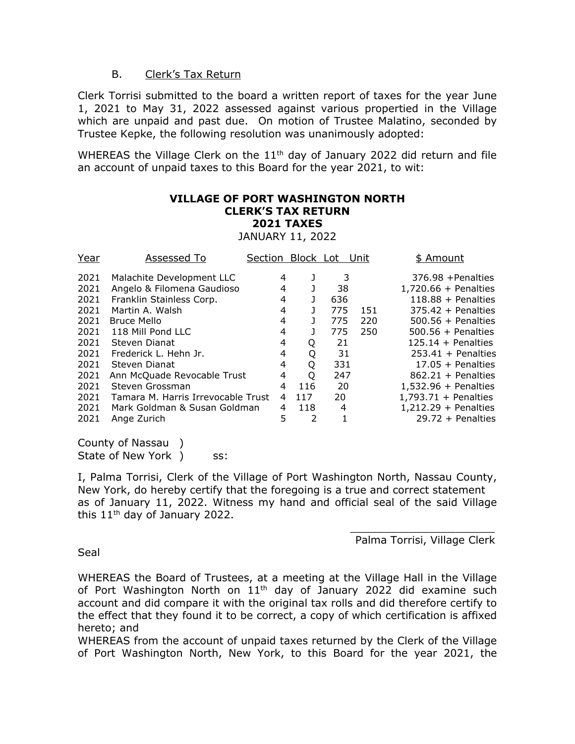### B. Clerk's Tax Return

Clerk Torrisi submitted to the board a written report of taxes for the year June 1, 2021 to May 31, 2022 assessed against various propertied in the Village which are unpaid and past due. On motion of Trustee Malatino, seconded by Trustee Kepke, the following resolution was unanimously adopted:

WHEREAS the Village Clerk on the 11<sup>th</sup> day of January 2022 did return and file an account of unpaid taxes to this Board for the year 2021, to wit:

# **VILLAGE OF PORT WASHINGTON NORTH CLERK'S TAX RETURN 2021 TAXES**

JANUARY 11, 2022

| Year | Assessed To                        | Section | Block Lot |     | Unit | \$ Amount              |
|------|------------------------------------|---------|-----------|-----|------|------------------------|
| 2021 | Malachite Development LLC          | 4       |           | 3   |      | $376.98 +$ Penalties   |
| 2021 | Angelo & Filomena Gaudioso         | 4       |           | 38  |      | $1,720.66 +$ Penalties |
| 2021 | Franklin Stainless Corp.           | 4       |           | 636 |      | $118.88 +$ Penalties   |
| 2021 | Martin A. Walsh                    | 4       |           | 775 | 151  | $375.42 +$ Penalties   |
| 2021 | Bruce Mello                        | 4       |           | 775 | 220  | $500.56 +$ Penalties   |
| 2021 | 118 Mill Pond LLC                  | 4       |           | 775 | 250  | $500.56 +$ Penalties   |
| 2021 | Steven Dianat                      | 4       | Q         | 21  |      | $125.14 +$ Penalties   |
| 2021 | Frederick L. Hehn Jr.              | 4       | Q         | -31 |      | $253.41 +$ Penalties   |
| 2021 | Steven Dianat                      | 4       | Q         | 331 |      | $17.05 +$ Penalties    |
| 2021 | Ann McQuade Revocable Trust        | 4       | O         | 247 |      | $862.21 + Penalties$   |
| 2021 | Steven Grossman                    | 4       | 116       | 20  |      | $1,532.96 +$ Penalties |
| 2021 | Tamara M. Harris Irrevocable Trust | 4       | 117       | 20  |      | $1,793.71 +$ Penalties |
| 2021 | Mark Goldman & Susan Goldman       | 4       | 118       | 4   |      | $1,212.29 +$ Penalties |
| 2021 | Ange Zurich                        | 5       | 2         |     |      | $29.72 +$ Penalties    |
|      |                                    |         |           |     |      |                        |

County of Nassau ) State of New York ) ss:

I, Palma Torrisi, Clerk of the Village of Port Washington North, Nassau County, New York, do hereby certify that the foregoing is a true and correct statement as of January 11, 2022. Witness my hand and official seal of the said Village this  $11<sup>th</sup>$  day of January 2022.

> \_\_\_\_\_\_\_\_\_\_\_\_\_\_\_\_\_\_\_\_\_\_ Palma Torrisi, Village Clerk

Seal

WHEREAS the Board of Trustees, at a meeting at the Village Hall in the Village of Port Washington North on  $11<sup>th</sup>$  day of January 2022 did examine such account and did compare it with the original tax rolls and did therefore certify to the effect that they found it to be correct, a copy of which certification is affixed hereto; and

WHEREAS from the account of unpaid taxes returned by the Clerk of the Village of Port Washington North, New York, to this Board for the year 2021, the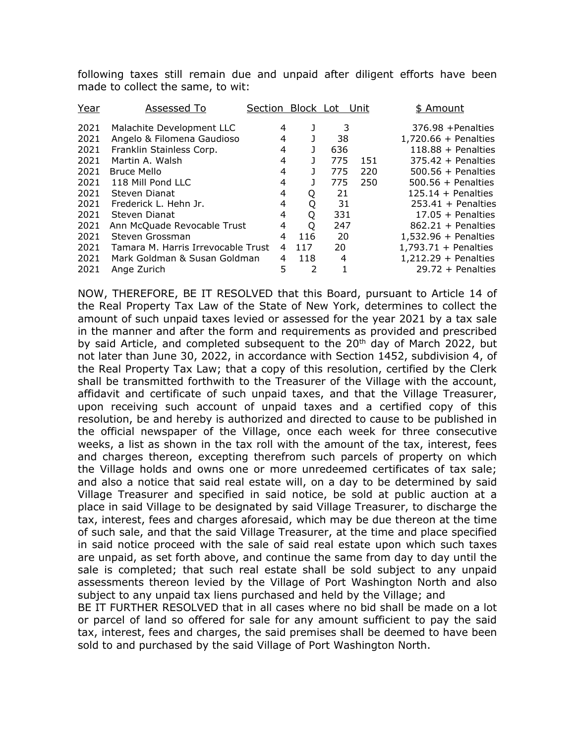following taxes still remain due and unpaid after diligent efforts have been made to collect the same, to wit:

| Year | Assessed To                        | Section Block Lot |     |     | Unit | \$ Amount              |
|------|------------------------------------|-------------------|-----|-----|------|------------------------|
| 2021 | Malachite Development LLC          | 4                 |     | 3   |      | $376.98 +$ Penalties   |
| 2021 | Angelo & Filomena Gaudioso         | 4                 |     | 38  |      | $1,720.66 +$ Penalties |
| 2021 | Franklin Stainless Corp.           | 4                 |     | 636 |      | $118.88 +$ Penalties   |
| 2021 | Martin A. Walsh                    | 4                 |     | 775 | 151  | $375.42 +$ Penalties   |
| 2021 | <b>Bruce Mello</b>                 | 4                 | L   | 775 | 220  | $500.56 +$ Penalties   |
| 2021 | 118 Mill Pond LLC                  | 4                 |     | 775 | 250  | $500.56 +$ Penalties   |
| 2021 | Steven Dianat                      | 4                 | Q   | 21  |      | $125.14 +$ Penalties   |
| 2021 | Frederick L. Hehn Jr.              | 4                 | Q   | -31 |      | $253.41 +$ Penalties   |
| 2021 | Steven Dianat                      | 4                 | Q   | 331 |      | $17.05 +$ Penalties    |
| 2021 | Ann McQuade Revocable Trust        | 4                 | Q   | 247 |      | $862.21 +$ Penalties   |
| 2021 | Steven Grossman                    | 4                 | 116 | 20  |      | $1,532.96 +$ Penalties |
| 2021 | Tamara M. Harris Irrevocable Trust | 4                 | 117 | 20  |      | $1,793.71 +$ Penalties |
| 2021 | Mark Goldman & Susan Goldman       |                   | 118 | 4   |      | $1,212.29 +$ Penalties |
| 2021 | Ange Zurich                        | 5                 | 2   |     |      | $29.72 +$ Penalties    |

NOW, THEREFORE, BE IT RESOLVED that this Board, pursuant to Article 14 of the Real Property Tax Law of the State of New York, determines to collect the amount of such unpaid taxes levied or assessed for the year 2021 by a tax sale in the manner and after the form and requirements as provided and prescribed by said Article, and completed subsequent to the 20<sup>th</sup> day of March 2022, but not later than June 30, 2022, in accordance with Section 1452, subdivision 4, of the Real Property Tax Law; that a copy of this resolution, certified by the Clerk shall be transmitted forthwith to the Treasurer of the Village with the account, affidavit and certificate of such unpaid taxes, and that the Village Treasurer, upon receiving such account of unpaid taxes and a certified copy of this resolution, be and hereby is authorized and directed to cause to be published in the official newspaper of the Village, once each week for three consecutive weeks, a list as shown in the tax roll with the amount of the tax, interest, fees and charges thereon, excepting therefrom such parcels of property on which the Village holds and owns one or more unredeemed certificates of tax sale; and also a notice that said real estate will, on a day to be determined by said Village Treasurer and specified in said notice, be sold at public auction at a place in said Village to be designated by said Village Treasurer, to discharge the tax, interest, fees and charges aforesaid, which may be due thereon at the time of such sale, and that the said Village Treasurer, at the time and place specified in said notice proceed with the sale of said real estate upon which such taxes are unpaid, as set forth above, and continue the same from day to day until the sale is completed; that such real estate shall be sold subject to any unpaid assessments thereon levied by the Village of Port Washington North and also subject to any unpaid tax liens purchased and held by the Village; and

BE IT FURTHER RESOLVED that in all cases where no bid shall be made on a lot or parcel of land so offered for sale for any amount sufficient to pay the said tax, interest, fees and charges, the said premises shall be deemed to have been sold to and purchased by the said Village of Port Washington North.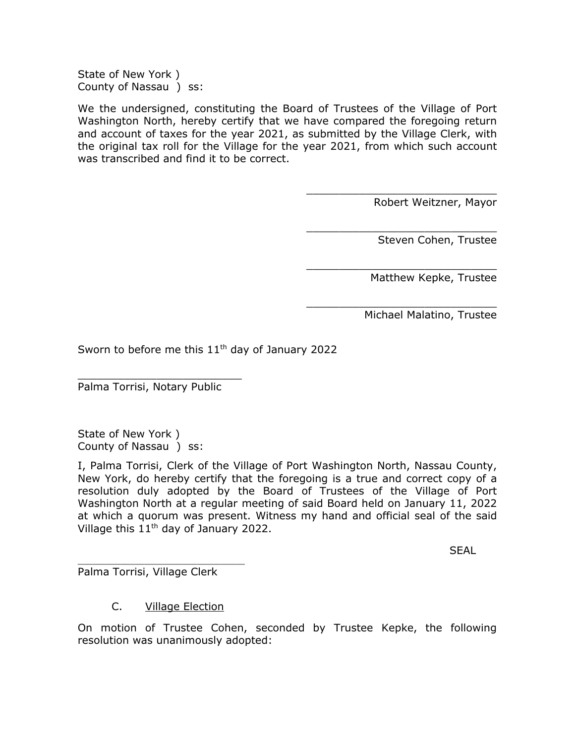State of New York ) County of Nassau ) ss:

We the undersigned, constituting the Board of Trustees of the Village of Port Washington North, hereby certify that we have compared the foregoing return and account of taxes for the year 2021, as submitted by the Village Clerk, with the original tax roll for the Village for the year 2021, from which such account was transcribed and find it to be correct.

Robert Weitzner, Mayor

\_\_\_\_\_\_\_\_\_\_\_\_\_\_\_\_\_\_\_\_\_\_\_\_\_\_\_\_\_

\_\_\_\_\_\_\_\_\_\_\_\_\_\_\_\_\_\_\_\_\_\_\_\_\_\_\_\_\_

\_\_\_\_\_\_\_\_\_\_\_\_\_\_\_\_\_\_\_\_\_\_\_\_\_\_\_\_\_

\_\_\_\_\_\_\_\_\_\_\_\_\_\_\_\_\_\_\_\_\_\_\_\_\_\_\_\_\_

Steven Cohen, Trustee

Matthew Kepke, Trustee

Michael Malatino, Trustee

Sworn to before me this  $11<sup>th</sup>$  day of January 2022

Palma Torrisi, Notary Public

\_\_\_\_\_\_\_\_\_\_\_\_\_\_\_\_\_\_\_\_\_\_\_\_\_

State of New York ) County of Nassau ) ss:

I, Palma Torrisi, Clerk of the Village of Port Washington North, Nassau County, New York, do hereby certify that the foregoing is a true and correct copy of a resolution duly adopted by the Board of Trustees of the Village of Port Washington North at a regular meeting of said Board held on January 11, 2022 at which a quorum was present. Witness my hand and official seal of the said Village this 11th day of January 2022.

**SFAL** 

\_\_\_\_\_\_\_\_\_\_\_\_\_\_\_\_\_\_\_\_\_\_\_\_\_\_\_\_\_\_\_\_\_\_\_ Palma Torrisi, Village Clerk

### C. Village Election

On motion of Trustee Cohen, seconded by Trustee Kepke, the following resolution was unanimously adopted: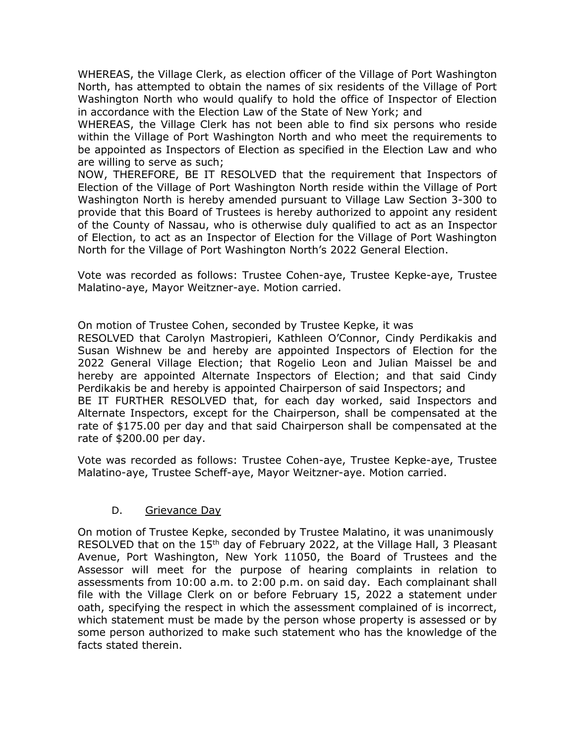WHEREAS, the Village Clerk, as election officer of the Village of Port Washington North, has attempted to obtain the names of six residents of the Village of Port Washington North who would qualify to hold the office of Inspector of Election in accordance with the Election Law of the State of New York; and

WHEREAS, the Village Clerk has not been able to find six persons who reside within the Village of Port Washington North and who meet the requirements to be appointed as Inspectors of Election as specified in the Election Law and who are willing to serve as such;

NOW, THEREFORE, BE IT RESOLVED that the requirement that Inspectors of Election of the Village of Port Washington North reside within the Village of Port Washington North is hereby amended pursuant to Village Law Section 3-300 to provide that this Board of Trustees is hereby authorized to appoint any resident of the County of Nassau, who is otherwise duly qualified to act as an Inspector of Election, to act as an Inspector of Election for the Village of Port Washington North for the Village of Port Washington North's 2022 General Election.

Vote was recorded as follows: Trustee Cohen-aye, Trustee Kepke-aye, Trustee Malatino-aye, Mayor Weitzner-aye. Motion carried.

On motion of Trustee Cohen, seconded by Trustee Kepke, it was

RESOLVED that Carolyn Mastropieri, Kathleen O'Connor, Cindy Perdikakis and Susan Wishnew be and hereby are appointed Inspectors of Election for the 2022 General Village Election; that Rogelio Leon and Julian Maissel be and hereby are appointed Alternate Inspectors of Election; and that said Cindy Perdikakis be and hereby is appointed Chairperson of said Inspectors; and BE IT FURTHER RESOLVED that, for each day worked, said Inspectors and Alternate Inspectors, except for the Chairperson, shall be compensated at the rate of \$175.00 per day and that said Chairperson shall be compensated at the rate of \$200.00 per day.

Vote was recorded as follows: Trustee Cohen-aye, Trustee Kepke-aye, Trustee Malatino-aye, Trustee Scheff-aye, Mayor Weitzner-aye. Motion carried.

# D. Grievance Day

On motion of Trustee Kepke, seconded by Trustee Malatino, it was unanimously RESOLVED that on the 15<sup>th</sup> day of February 2022, at the Village Hall, 3 Pleasant Avenue, Port Washington, New York 11050, the Board of Trustees and the Assessor will meet for the purpose of hearing complaints in relation to assessments from 10:00 a.m. to 2:00 p.m. on said day. Each complainant shall file with the Village Clerk on or before February 15, 2022 a statement under oath, specifying the respect in which the assessment complained of is incorrect, which statement must be made by the person whose property is assessed or by some person authorized to make such statement who has the knowledge of the facts stated therein.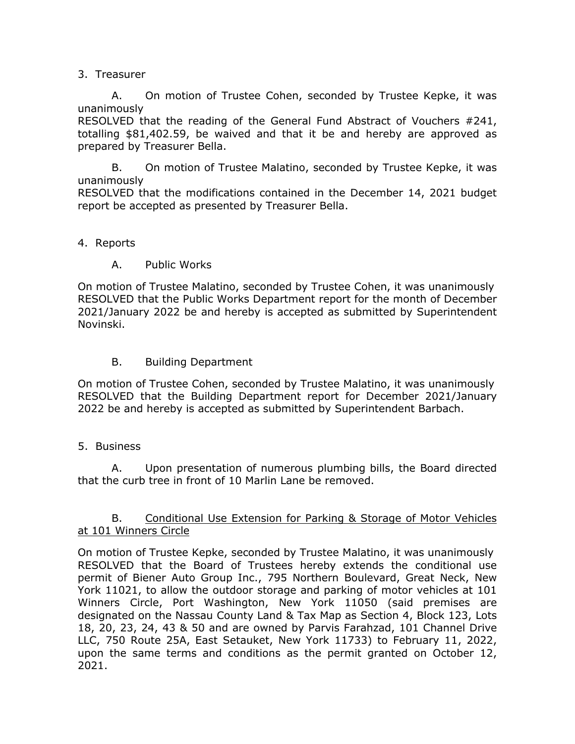## 3. Treasurer

A. On motion of Trustee Cohen, seconded by Trustee Kepke, it was unanimously

RESOLVED that the reading of the General Fund Abstract of Vouchers #241, totalling \$81,402.59, be waived and that it be and hereby are approved as prepared by Treasurer Bella.

B. On motion of Trustee Malatino, seconded by Trustee Kepke, it was unanimously

RESOLVED that the modifications contained in the December 14, 2021 budget report be accepted as presented by Treasurer Bella.

## 4. Reports

A. Public Works

On motion of Trustee Malatino, seconded by Trustee Cohen, it was unanimously RESOLVED that the Public Works Department report for the month of December 2021/January 2022 be and hereby is accepted as submitted by Superintendent Novinski.

# B. Building Department

On motion of Trustee Cohen, seconded by Trustee Malatino, it was unanimously RESOLVED that the Building Department report for December 2021/January 2022 be and hereby is accepted as submitted by Superintendent Barbach.

# 5. Business

A. Upon presentation of numerous plumbing bills, the Board directed that the curb tree in front of 10 Marlin Lane be removed.

# B. Conditional Use Extension for Parking & Storage of Motor Vehicles at 101 Winners Circle

On motion of Trustee Kepke, seconded by Trustee Malatino, it was unanimously RESOLVED that the Board of Trustees hereby extends the conditional use permit of Biener Auto Group Inc., 795 Northern Boulevard, Great Neck, New York 11021, to allow the outdoor storage and parking of motor vehicles at 101 Winners Circle, Port Washington, New York 11050 (said premises are designated on the Nassau County Land & Tax Map as Section 4, Block 123, Lots 18, 20, 23, 24, 43 & 50 and are owned by Parvis Farahzad, 101 Channel Drive LLC, 750 Route 25A, East Setauket, New York 11733) to February 11, 2022, upon the same terms and conditions as the permit granted on October 12, 2021.